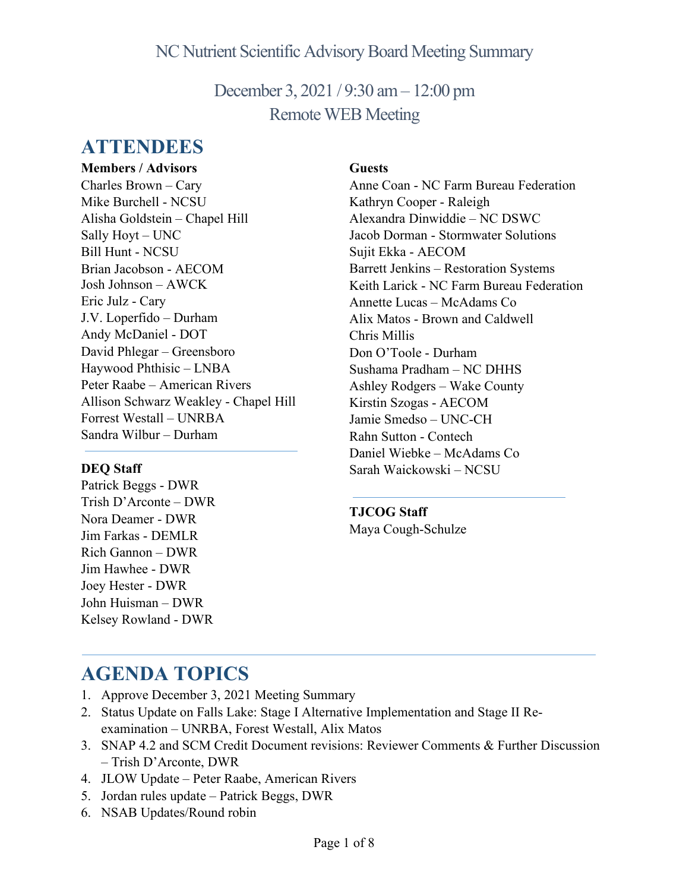December 3, 2021 / 9:30 am– 12:00 pm Remote WEB Meeting

# **ATTENDEES**

**Members / Advisors** Charles Brown – Cary Mike Burchell - NCSU Alisha Goldstein – Chapel Hill Sally Hoyt – UNC Bill Hunt - NCSU Brian Jacobson - AECOM Josh Johnson – AWCK Eric Julz - Cary J.V. Loperfido – Durham Andy McDaniel - DOT David Phlegar – Greensboro Haywood Phthisic – LNBA Peter Raabe – American Rivers Allison Schwarz Weakley - Chapel Hill Forrest Westall – UNRBA Sandra Wilbur – Durham

#### **DEQ Staff**

Patrick Beggs - DWR Trish D'Arconte – DWR Nora Deamer - DWR Jim Farkas - DEMLR Rich Gannon – DWR Jim Hawhee - DWR Joey Hester - DWR John Huisman – DWR Kelsey Rowland - DWR

#### **Guests**

Anne Coan - NC Farm Bureau Federation Kathryn Cooper - Raleigh Alexandra Dinwiddie – NC DSWC Jacob Dorman - Stormwater Solutions Sujit Ekka - AECOM Barrett Jenkins – Restoration Systems Keith Larick - NC Farm Bureau Federation Annette Lucas – McAdams Co Alix Matos - Brown and Caldwell Chris Millis Don O'Toole - Durham Sushama Pradham – NC DHHS Ashley Rodgers – Wake County Kirstin Szogas - AECOM Jamie Smedso – UNC-CH Rahn Sutton - Contech Daniel Wiebke – McAdams Co Sarah Waickowski – NCSU

**TJCOG Staff** Maya Cough-Schulze

# **AGENDA TOPICS**

- 1. Approve December 3, 2021 Meeting Summary
- 2. Status Update on Falls Lake: Stage I Alternative Implementation and Stage II Reexamination – UNRBA, Forest Westall, Alix Matos
- 3. SNAP 4.2 and SCM Credit Document revisions: Reviewer Comments & Further Discussion – Trish D'Arconte, DWR
- 4. JLOW Update Peter Raabe, American Rivers
- 5. Jordan rules update Patrick Beggs, DWR
- 6. NSAB Updates/Round robin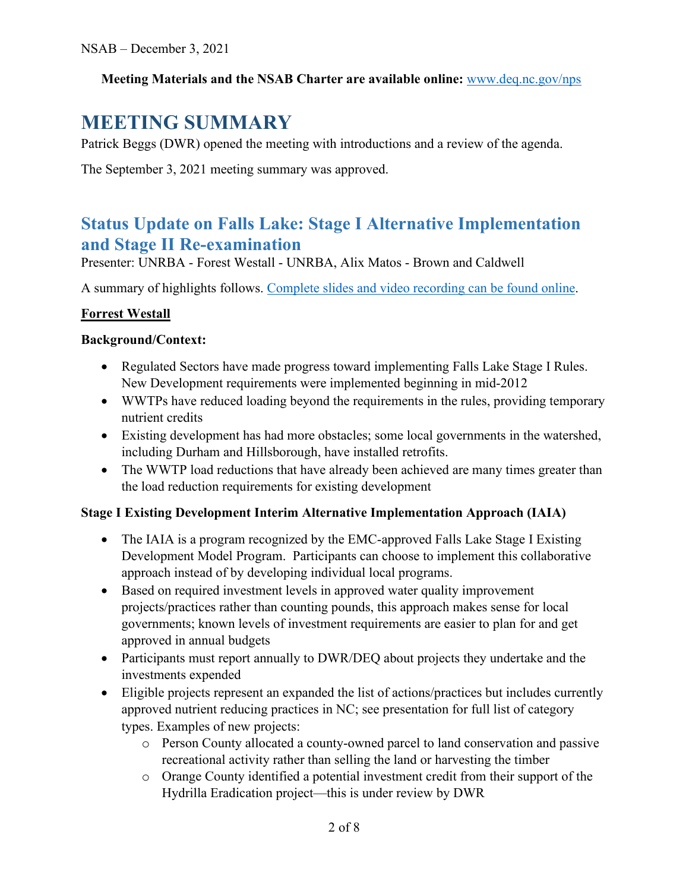#### **Meeting Materials and the NSAB Charter are available online:** [www.deq.nc.gov/nps](https://deq.nc.gov/about/divisions/water-resources/planning/nonpoint-source-management/nutrient-scientific-advisory-board#nsab-meeting-documents)

# **MEETING SUMMARY**

Patrick Beggs (DWR) opened the meeting with introductions and a review of the agenda.

The September 3, 2021 meeting summary was approved.

## **Status Update on Falls Lake: Stage I Alternative Implementation and Stage II Re-examination**

Presenter: UNRBA - Forest Westall - UNRBA, Alix Matos - Brown and Caldwell

A summary of highlights follows. [Complete slides and video recording can be found online.](https://deq.nc.gov/about/divisions/water-resources/water-planning/nonpoint-source-planning/nutrient-scientific-advisory-board#nsab-meeting-documents)

#### **Forrest Westall**

#### **Background/Context:**

- Regulated Sectors have made progress toward implementing Falls Lake Stage I Rules. New Development requirements were implemented beginning in mid-2012
- WWTPs have reduced loading beyond the requirements in the rules, providing temporary nutrient credits
- Existing development has had more obstacles; some local governments in the watershed, including Durham and Hillsborough, have installed retrofits.
- The WWTP load reductions that have already been achieved are many times greater than the load reduction requirements for existing development

#### **Stage I Existing Development Interim Alternative Implementation Approach (IAIA)**

- The IAIA is a program recognized by the EMC-approved Falls Lake Stage I Existing Development Model Program. Participants can choose to implement this collaborative approach instead of by developing individual local programs.
- Based on required investment levels in approved water quality improvement projects/practices rather than counting pounds, this approach makes sense for local governments; known levels of investment requirements are easier to plan for and get approved in annual budgets
- Participants must report annually to DWR/DEQ about projects they undertake and the investments expended
- Eligible projects represent an expanded the list of actions/practices but includes currently approved nutrient reducing practices in NC; see presentation for full list of category types. Examples of new projects:
	- o Person County allocated a county-owned parcel to land conservation and passive recreational activity rather than selling the land or harvesting the timber
	- o Orange County identified a potential investment credit from their support of the Hydrilla Eradication project—this is under review by DWR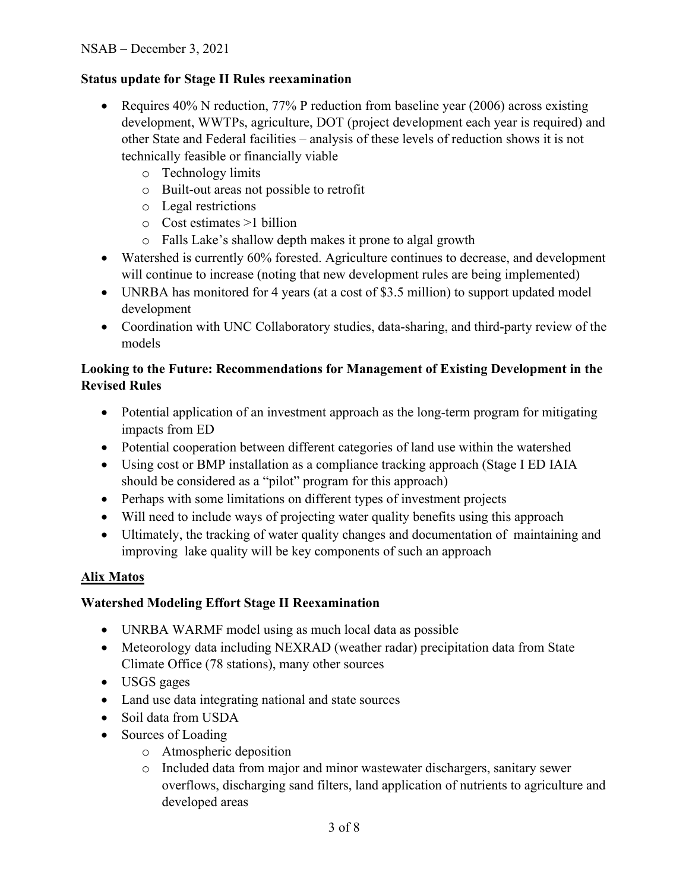#### **Status update for Stage II Rules reexamination**

- Requires 40% N reduction, 77% P reduction from baseline year (2006) across existing development, WWTPs, agriculture, DOT (project development each year is required) and other State and Federal facilities – analysis of these levels of reduction shows it is not technically feasible or financially viable
	- o Technology limits
	- o Built-out areas not possible to retrofit
	- o Legal restrictions
	- o Cost estimates >1 billion
	- o Falls Lake's shallow depth makes it prone to algal growth
- Watershed is currently 60% forested. Agriculture continues to decrease, and development will continue to increase (noting that new development rules are being implemented)
- UNRBA has monitored for 4 years (at a cost of \$3.5 million) to support updated model development
- Coordination with UNC Collaboratory studies, data-sharing, and third-party review of the models

#### **Looking to the Future: Recommendations for Management of Existing Development in the Revised Rules**

- Potential application of an investment approach as the long-term program for mitigating impacts from ED
- Potential cooperation between different categories of land use within the watershed
- Using cost or BMP installation as a compliance tracking approach (Stage I ED IAIA) should be considered as a "pilot" program for this approach)
- Perhaps with some limitations on different types of investment projects
- Will need to include ways of projecting water quality benefits using this approach
- Ultimately, the tracking of water quality changes and documentation of maintaining and improving lake quality will be key components of such an approach

#### **Alix Matos**

#### **Watershed Modeling Effort Stage II Reexamination**

- UNRBA WARMF model using as much local data as possible
- Meteorology data including NEXRAD (weather radar) precipitation data from State Climate Office (78 stations), many other sources
- USGS gages
- Land use data integrating national and state sources
- Soil data from USDA
- Sources of Loading
	- o Atmospheric deposition
	- o Included data from major and minor wastewater dischargers, sanitary sewer overflows, discharging sand filters, land application of nutrients to agriculture and developed areas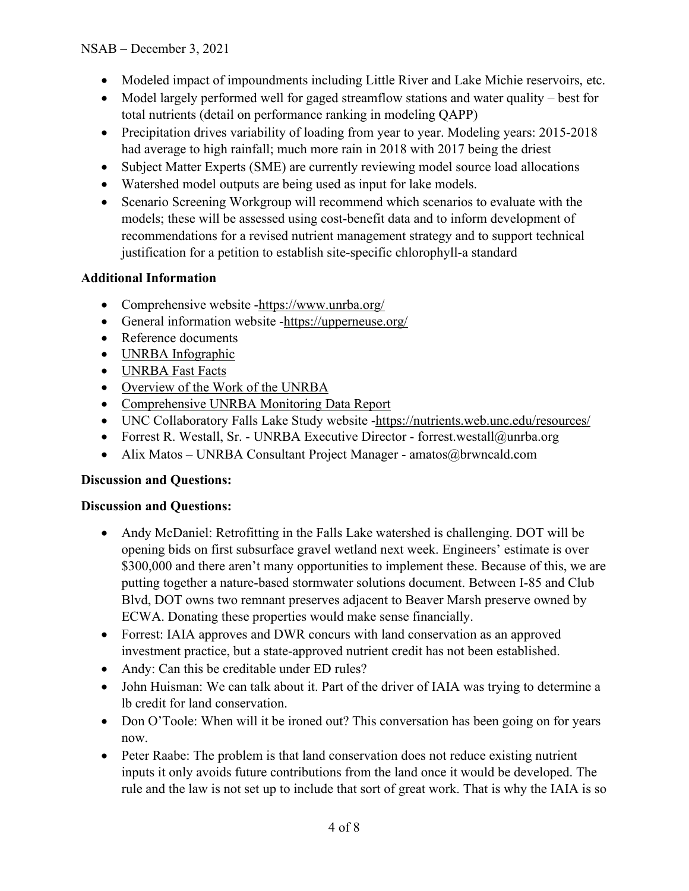- Modeled impact of impoundments including Little River and Lake Michie reservoirs, etc.
- Model largely performed well for gaged streamflow stations and water quality best for total nutrients (detail on performance ranking in modeling QAPP)
- Precipitation drives variability of loading from year to year. Modeling years: 2015-2018 had average to high rainfall; much more rain in 2018 with 2017 being the driest
- Subject Matter Experts (SME) are currently reviewing model source load allocations
- Watershed model outputs are being used as input for lake models.
- Scenario Screening Workgroup will recommend which scenarios to evaluate with the models; these will be assessed using cost-benefit data and to inform development of recommendations for a revised nutrient management strategy and to support technical justification for a petition to establish site-specific chlorophyll-a standard

#### **Additional Information**

- Comprehensive website [-https://www.unrba.org/](https://www.unrba.org/)
- General information website [-https://upperneuse.org/](https://upperneuse.org/)
- Reference documents
- [UNRBA Infographic](https://upperneuse.org/infographic)
- [UNRBA Fast Facts](https://upperneuse.org/fast-facts)
- [Overview of the Work of the UNRBA](https://nutrients.web.unc.edu/wp-content/uploads/sites/19393/2020/12/UNRBA-Collaboration_v4.2.pdf)
- [Comprehensive UNRBA Monitoring Data Report](https://www.unrba.org/sites/default/files/UNRBA%202019%20Annual%20Report%20Final.pdf)
- UNC Collaboratory Falls Lake Study website [-https://nutrients.web.unc.edu/resources/](https://nutrients.web.unc.edu/resources/)
- Forrest R. Westall, Sr. UNRBA Executive Director forrest.westall@unrba.org
- Alix Matos UNRBA Consultant Project Manager amatos@brwncald.com

#### **Discussion and Questions:**

#### **Discussion and Questions:**

- Andy McDaniel: Retrofitting in the Falls Lake watershed is challenging. DOT will be opening bids on first subsurface gravel wetland next week. Engineers' estimate is over \$300,000 and there aren't many opportunities to implement these. Because of this, we are putting together a nature-based stormwater solutions document. Between I-85 and Club Blvd, DOT owns two remnant preserves adjacent to Beaver Marsh preserve owned by ECWA. Donating these properties would make sense financially.
- Forrest: IAIA approves and DWR concurs with land conservation as an approved investment practice, but a state-approved nutrient credit has not been established.
- Andy: Can this be creditable under ED rules?
- John Huisman: We can talk about it. Part of the driver of IAIA was trying to determine a lb credit for land conservation.
- Don O'Toole: When will it be ironed out? This conversation has been going on for years now.
- Peter Raabe: The problem is that land conservation does not reduce existing nutrient inputs it only avoids future contributions from the land once it would be developed. The rule and the law is not set up to include that sort of great work. That is why the IAIA is so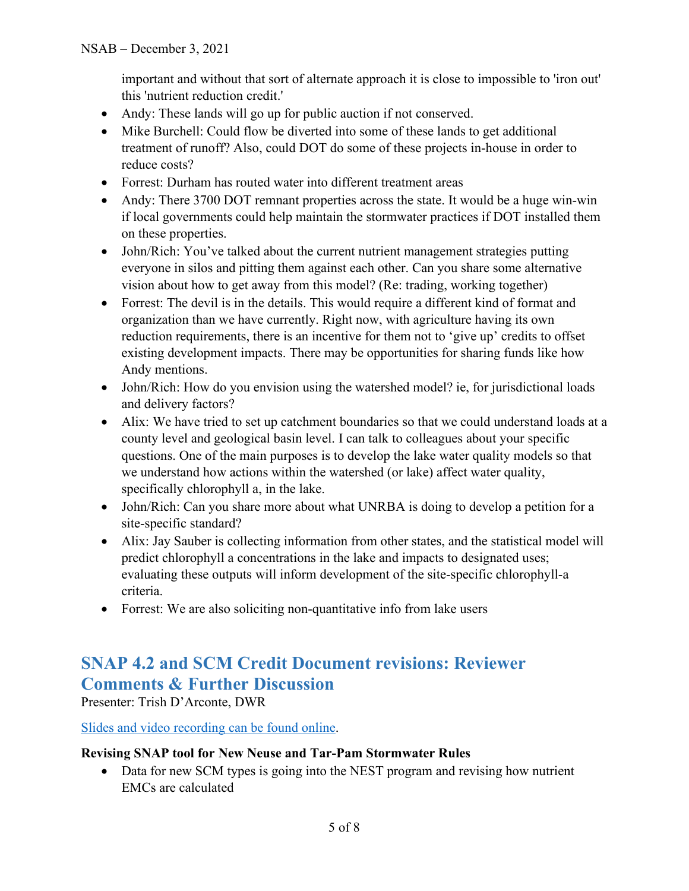important and without that sort of alternate approach it is close to impossible to 'iron out' this 'nutrient reduction credit.'

- Andy: These lands will go up for public auction if not conserved.
- Mike Burchell: Could flow be diverted into some of these lands to get additional treatment of runoff? Also, could DOT do some of these projects in-house in order to reduce costs?
- Forrest: Durham has routed water into different treatment areas
- Andy: There 3700 DOT remnant properties across the state. It would be a huge win-win if local governments could help maintain the stormwater practices if DOT installed them on these properties.
- John/Rich: You've talked about the current nutrient management strategies putting everyone in silos and pitting them against each other. Can you share some alternative vision about how to get away from this model? (Re: trading, working together)
- Forrest: The devil is in the details. This would require a different kind of format and organization than we have currently. Right now, with agriculture having its own reduction requirements, there is an incentive for them not to 'give up' credits to offset existing development impacts. There may be opportunities for sharing funds like how Andy mentions.
- John/Rich: How do you envision using the watershed model? ie, for jurisdictional loads and delivery factors?
- Alix: We have tried to set up catchment boundaries so that we could understand loads at a county level and geological basin level. I can talk to colleagues about your specific questions. One of the main purposes is to develop the lake water quality models so that we understand how actions within the watershed (or lake) affect water quality, specifically chlorophyll a, in the lake.
- John/Rich: Can you share more about what UNRBA is doing to develop a petition for a site-specific standard?
- Alix: Jay Sauber is collecting information from other states, and the statistical model will predict chlorophyll a concentrations in the lake and impacts to designated uses; evaluating these outputs will inform development of the site-specific chlorophyll-a criteria.
- Forrest: We are also soliciting non-quantitative info from lake users

# **SNAP 4.2 and SCM Credit Document revisions: Reviewer Comments & Further Discussion**

Presenter: Trish D'Arconte, DWR

[Slides and video recording can be found online.](https://deq.nc.gov/about/divisions/water-resources/water-planning/nonpoint-source-planning/nutrient-scientific-advisory-board#nsab-meeting-documents)

#### **Revising SNAP tool for New Neuse and Tar-Pam Stormwater Rules**

• Data for new SCM types is going into the NEST program and revising how nutrient EMCs are calculated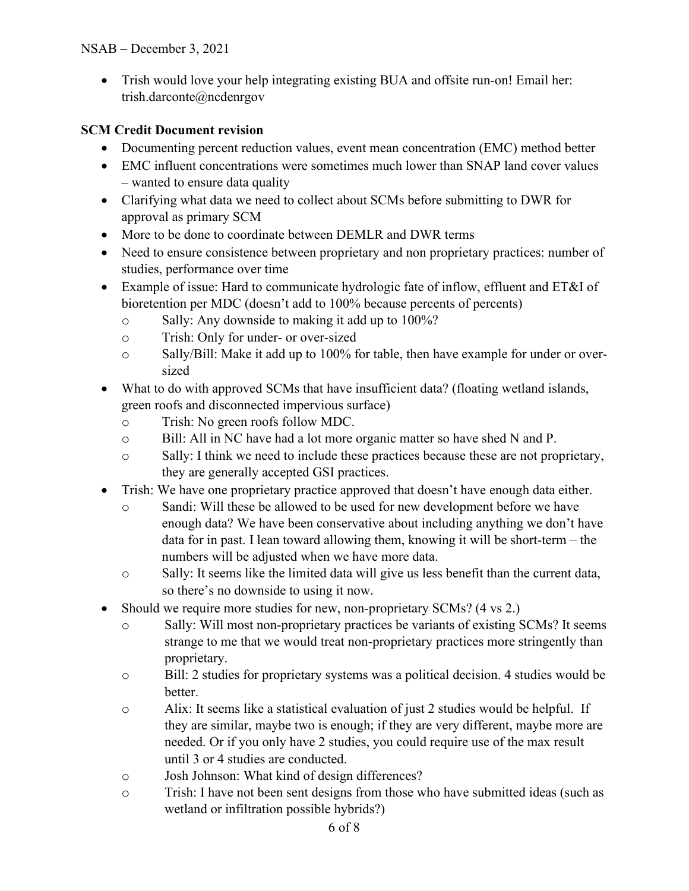• Trish would love your help integrating existing BUA and offsite run-on! Email her: trish.darconte@ncdenrgov

#### **SCM Credit Document revision**

- Documenting percent reduction values, event mean concentration (EMC) method better
- EMC influent concentrations were sometimes much lower than SNAP land cover values – wanted to ensure data quality
- Clarifying what data we need to collect about SCMs before submitting to DWR for approval as primary SCM
- More to be done to coordinate between DEMLR and DWR terms
- Need to ensure consistence between proprietary and non proprietary practices: number of studies, performance over time
- Example of issue: Hard to communicate hydrologic fate of inflow, effluent and ET&I of bioretention per MDC (doesn't add to 100% because percents of percents)
	- o Sally: Any downside to making it add up to 100%?
	- o Trish: Only for under- or over-sized
	- o Sally/Bill: Make it add up to 100% for table, then have example for under or oversized
- What to do with approved SCMs that have insufficient data? (floating wetland islands, green roofs and disconnected impervious surface)
	- o Trish: No green roofs follow MDC.
	- o Bill: All in NC have had a lot more organic matter so have shed N and P.
	- o Sally: I think we need to include these practices because these are not proprietary, they are generally accepted GSI practices.
- Trish: We have one proprietary practice approved that doesn't have enough data either.
	- o Sandi: Will these be allowed to be used for new development before we have enough data? We have been conservative about including anything we don't have data for in past. I lean toward allowing them, knowing it will be short-term – the numbers will be adjusted when we have more data.
	- o Sally: It seems like the limited data will give us less benefit than the current data, so there's no downside to using it now.
- Should we require more studies for new, non-proprietary SCMs? (4 vs 2.)
	- o Sally: Will most non-proprietary practices be variants of existing SCMs? It seems strange to me that we would treat non-proprietary practices more stringently than proprietary.
	- o Bill: 2 studies for proprietary systems was a political decision. 4 studies would be better.
	- o Alix: It seems like a statistical evaluation of just 2 studies would be helpful. If they are similar, maybe two is enough; if they are very different, maybe more are needed. Or if you only have 2 studies, you could require use of the max result until 3 or 4 studies are conducted.
	- o Josh Johnson: What kind of design differences?
	- o Trish: I have not been sent designs from those who have submitted ideas (such as wetland or infiltration possible hybrids?)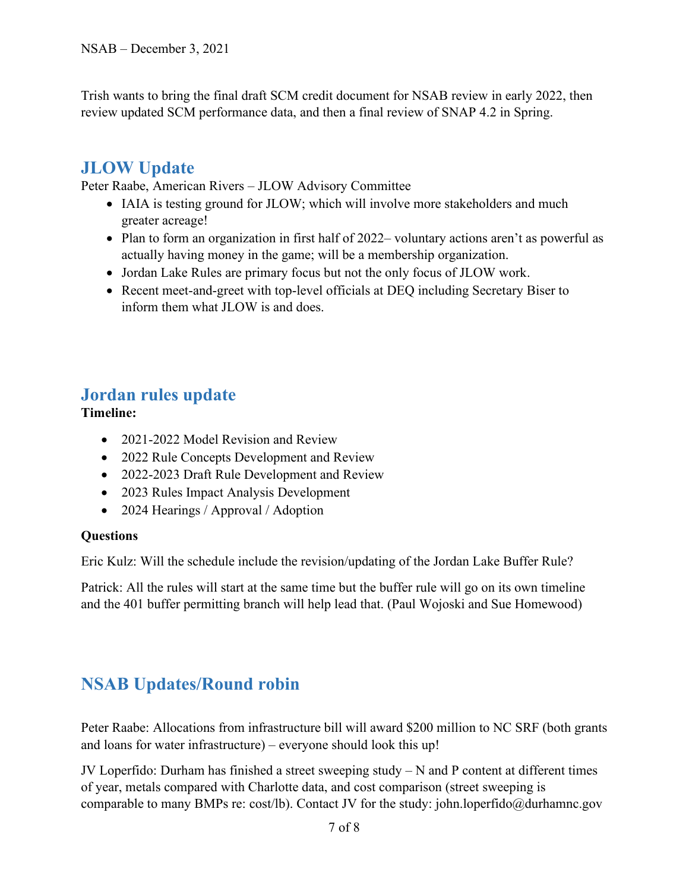Trish wants to bring the final draft SCM credit document for NSAB review in early 2022, then review updated SCM performance data, and then a final review of SNAP 4.2 in Spring.

# **JLOW Update**

Peter Raabe, American Rivers – JLOW Advisory Committee

- IAIA is testing ground for JLOW; which will involve more stakeholders and much greater acreage!
- Plan to form an organization in first half of 2022– voluntary actions aren't as powerful as actually having money in the game; will be a membership organization.
- Jordan Lake Rules are primary focus but not the only focus of JLOW work.
- Recent meet-and-greet with top-level officials at DEQ including Secretary Biser to inform them what JLOW is and does.

### **Jordan rules update**

**Timeline:**

- 2021-2022 Model Revision and Review
- 2022 Rule Concepts Development and Review
- 2022-2023 Draft Rule Development and Review
- 2023 Rules Impact Analysis Development
- 2024 Hearings / Approval / Adoption

#### **Questions**

Eric Kulz: Will the schedule include the revision/updating of the Jordan Lake Buffer Rule?

Patrick: All the rules will start at the same time but the buffer rule will go on its own timeline and the 401 buffer permitting branch will help lead that. (Paul Wojoski and Sue Homewood)

# **NSAB Updates/Round robin**

Peter Raabe: Allocations from infrastructure bill will award \$200 million to NC SRF (both grants and loans for water infrastructure) – everyone should look this up!

JV Loperfido: Durham has finished a street sweeping study – N and P content at different times of year, metals compared with Charlotte data, and cost comparison (street sweeping is comparable to many BMPs re: cost/lb). Contact JV for the study: john.loperfido@durhamnc.gov